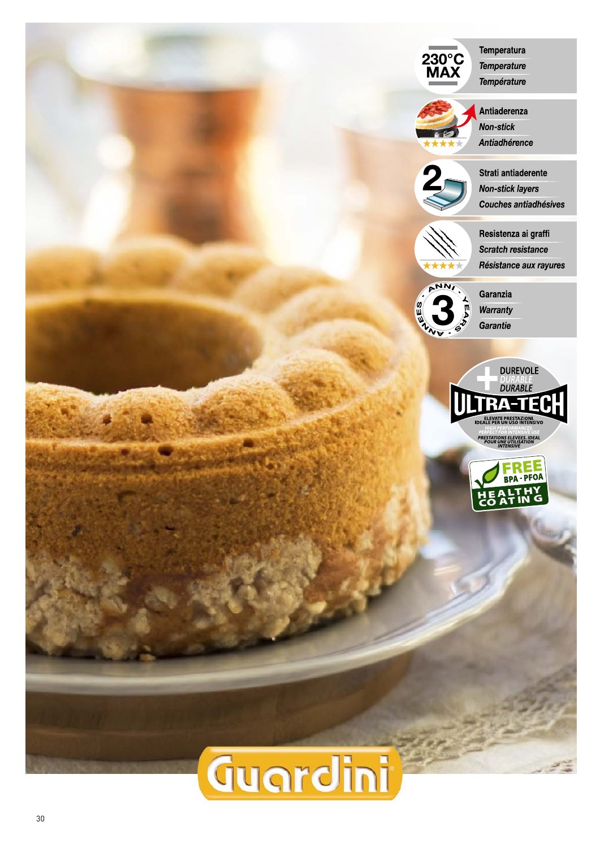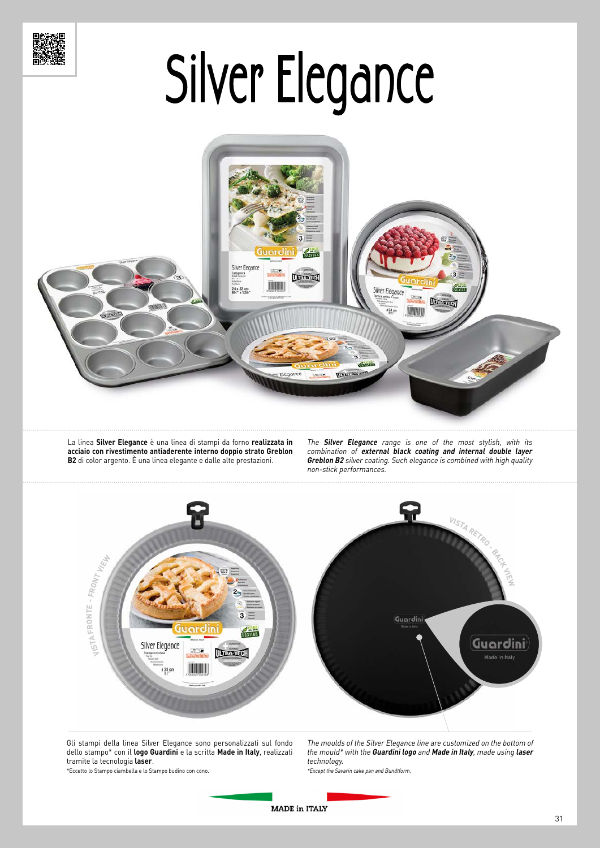



La linea **Silver Elegance** è una linea di stampi da forno **realizzata in acciaio con rivestimento antiaderente interno doppio strato Greblon B2** di color argento. È una linea elegante e dalle alte prestazioni.

The **Silver Elegance** range is one of the most stylish, with its combination of **external black coating and internal double layer Greblon B2** silver coating. Such elegance is combined with high quality non-stick performances.



Gli stampi della linea Silver Elegance sono personalizzati sul fondo dello stampo\* con il **logo Guardini** e la scritta **Made in Italy**, realizzati tramite la tecnologia **laser**.

The moulds of the Silver Elegance line are customized on the bottom of the mould\* with the **Guardini logo** and **Made in Italy**, made using **laser** technology. \*Except the Savarin cake pan and Bundtform.

\*Eccetto lo Stampo ciambella e lo Stampo budino con cono.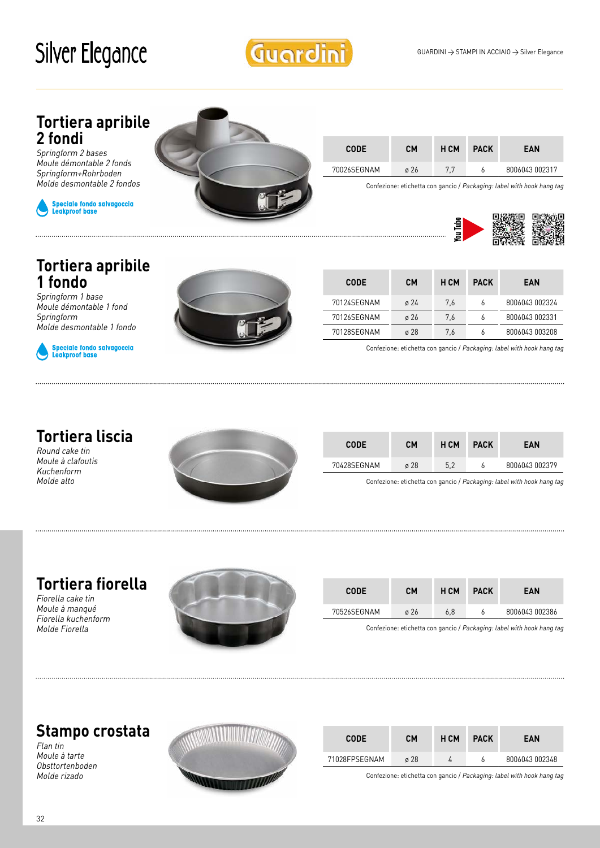Guardini

#### **Tortiera apribile 2 fondi**

Springform 2 bases Moule démontable 2 fonds Springform+Rohrboden Molde desmontable 2 fondos



..............................



| <b>CODE</b> | <b>CM</b> | H CM | <b>PACK</b> | <b>EAN</b>     |
|-------------|-----------|------|-------------|----------------|
| 70026SEGNAM | ø 26      | 77   |             | 8006043 002317 |

Confezione: etichetta con gancio / Packaging: label with hook hang tag



#### **Tortiera apribile 1 fondo**

Springform 1 base Moule démontable 1 fond Springform Molde desmontable 1 fondo



Speciale fondo salvagoccia<br>Leakproof base



| <b>CODE</b> | CМ               | H CM | <b>PACK</b> | EAN            |
|-------------|------------------|------|-------------|----------------|
| 70124SEGNAM | $\varnothing$ 24 | 7.6  | 6           | 8006043 002324 |
| 70126SEGNAM | $\varnothing$ 26 | 7.6  | ь           | 8006043 002331 |
| 70128SEGNAM | $\sigma$ 28      | 7.6  | ٥           | 8006043 003208 |

Confezione: etichetta con gancio / Packaging: label with hook hang tag

### **Tortiera liscia**

Round cake tin Moule à clafoutis Kuchenform Molde alto



| <b>CODE</b> | CM               | H CM | <b>PACK</b> | EAN            |
|-------------|------------------|------|-------------|----------------|
| 70428SEGNAM | $\varnothing$ 28 | 5,2  |             | 8006043 002379 |

Confezione: etichetta con gancio / Packaging: label with hook hang tag

#### **Tortiera fiorella**

Fiorella cake tin Moule à manqué Fiorella kuchenform Molde Fiorella



| <b>CODE</b> | <b>CM</b> | H CM | <b>PACK</b> | EAN            |
|-------------|-----------|------|-------------|----------------|
| 70526SEGNAM | ø 26      | 6.8  |             | 8006043 002386 |

Confezione: etichetta con gancio / Packaging: label with hook hang tag

## **Stampo crostata**

Flan tin Moule à tarte Obsttortenboden Molde rizado



| <b>CODE</b>   | CМ               | H CM | <b>PACK</b> | EAN            |
|---------------|------------------|------|-------------|----------------|
| 71028FPSEGNAM | $\varnothing$ 28 |      |             | 8006043 002348 |

Confezione: etichetta con gancio / Packaging: label with hook hang tag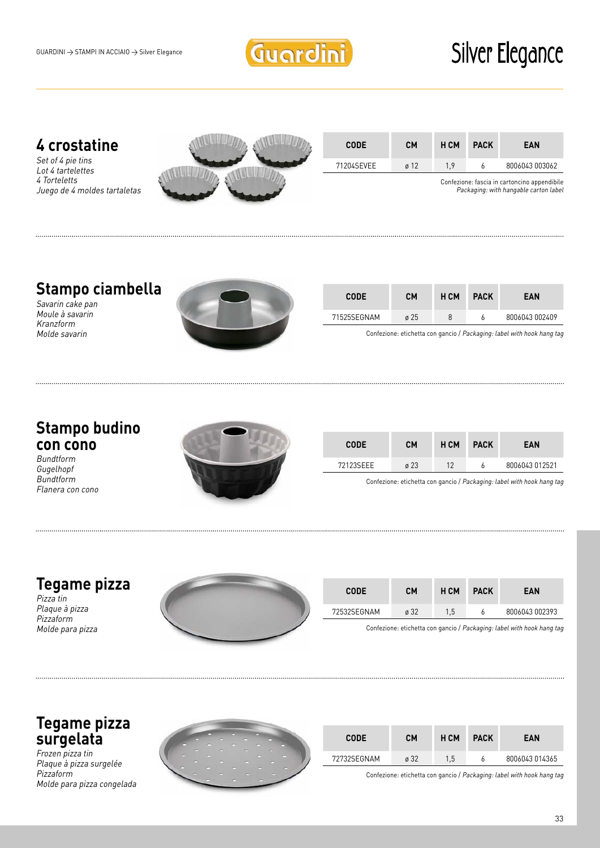

#### **4 crostatine**

Set of 4 pie tins Lot 4 tartelettes 4 Torteletts Juego de 4 moldes tartaletas



| <b>CODE</b> | CМ               | H CM | <b>PACK</b> | EAN            |
|-------------|------------------|------|-------------|----------------|
| 71204SEVEE  | $\varnothing$ 12 | 19   |             | 8006043 003062 |
|             |                  |      |             |                |

Confezione: fascia in cartoncino appendibile Packaging: with hangable carton label

## **Stampo ciambella**

Savarin cake pan Moule à savarin Kranzform Molde savarin



| <b>CODE</b> | CM               | H CM | <b>PACK</b> | EAN            |
|-------------|------------------|------|-------------|----------------|
| 71525SEGNAM | $\varnothing$ 25 | 8    |             | 8006043 002409 |

Confezione: etichetta con gancio / Packaging: label with hook hang tag

#### **Stampo budino con cono**

Bundtform Gugelhopf Bundtform Flanera con cono



| <b>CODE</b> | CМ               | H CM | <b>PACK</b> | EAN            |
|-------------|------------------|------|-------------|----------------|
| 72123SFFF   | $\varnothing$ 23 | 12   |             | 8006043 012521 |

Confezione: etichetta con gancio / Packaging: label with hook hang tag

#### **Tegame pizza**

Pizza tin Plaque à pizza Pizzaform Molde para pizza



| <b>CODE</b> | <b>CM</b> | H CM          | <b>PACK</b> | EAN            |
|-------------|-----------|---------------|-------------|----------------|
| 72532SEGNAM | ø 32      | $1.5^{\circ}$ |             | 8006043 002393 |

Confezione: etichetta con gancio / Packaging: label with hook hang tag

#### **Tegame pizza surgelata**

Frozen pizza tin Plaque à pizza surgelée Pizzaform Molde para pizza congelada



| <b>CODE</b> | CM               | H CM | <b>PACK</b> | EAN            |
|-------------|------------------|------|-------------|----------------|
| 72732SEGNAM | $\varnothing$ 32 | 1.5  |             | 8006043 014365 |

Confezione: etichetta con gancio / Packaging: label with hook hang tag